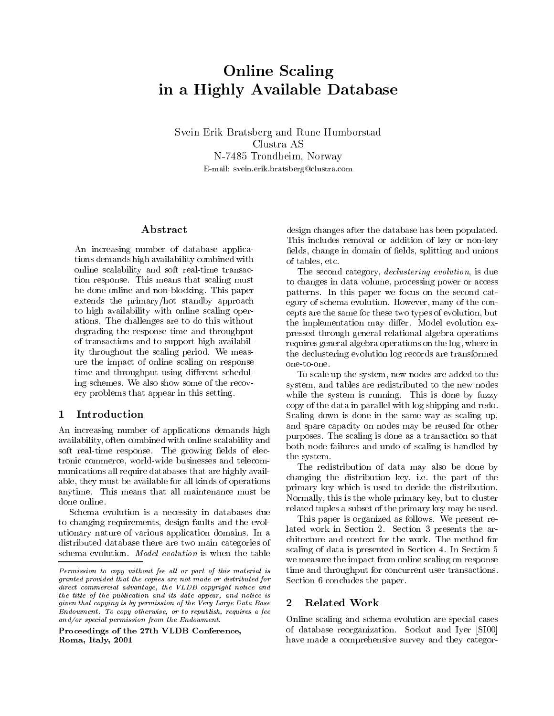# Online Scaling in a Highly Available Database

Svein Erik Bratsberg and Rune Humborstad Clustra AS N-7485 Trondheim, Norway E-mail: svein.erik.bratsberg@clustra.com

## Abstract

An increasing number of database applications demands high availability combined with online scalability and soft real-time transaction response. This means that scaling must be done online and non-blocking. This paper extends the primary/hot standby approach to high availability with online scaling operations. The challenges are to do this without degrading the response time and throughput of transactions and to support high availability throughout the scaling period. We measure the impact of online scaling on response time and throughput using different scheduling schemes. We also show some of the recov ery problems that appear in this setting.

### 1 **Introduction**

An increasing number of applications demands high availability, often combined with online scalability and soft real-time response. The growing fields of electronic commerce, world-wide businesses and telecom munications all require databases that are highly available, they must be available for all kinds of operations anytime. This means that all maintenance must be done online.

Schema evolution is a necessity in databases due to changing requirements, design faults and the evolutionary nature of various application domains. In a distributed database there are two main categories of schema evolution. Model evolution is when the table

Proceedings of the 27th VLDB Conference,Roma, Italy, 2001

design changes after the database has been populated. This includes removal or addition of key or non-key fields, change in domain of fields, splitting and unions of tables, etc.

The second category, *declustering evolution*, is due to changes in data volume, processing power or access patterns. In this paper we focus on the second category of schema evolution. However, many of the concepts are the same for these two types of evolution, but the implementation may differ. Model evolution expressed through general relational algebra operations requires general algebra operations on the log, where in the declustering evolution log records are transformed one-to-one.

To scale up the system, new nodes are added to the system, and tables are redistributed to the new nodes while the system is running. This is done by fuzzy copy of the data in parallel with log shipping and redo. Scaling down is done in the same way as scaling up, and spare capacity on nodes may be reused for other purposes. The scaling is done as a transaction so that both node failures and undo of scaling is handled by the system.

The redistribution of data may also be done by changing the distribution key, i.e. the part of the primary key which is used to decide the distribution. Normally, this is the whole primary key, but to cluster related tuples a subset of the primary key may be used.

 Section 6 concludes the paper. This paper is organized as follows. We present related work in Section 2. Section 3 presents the architecture and context for the work. The method for scaling of data is presented in Section 4. In Section 5 we measure the impact from online scaling on response time and throughput for concurrent user transactions.

### $\overline{2}$ Related Work

Online scaling and schema evolution are special cases of database reorganization. Sockut and Iyer [SI00] have made a comprehensive survey and they categor-

 $P$ ermission to copy without fee all or part of this material is  $P$  . This granted provided that the copies are not made or distributed for $\it{a}$  and commercial advantage, the VLDB copyright notice and  $\it{b}$ the title of the publication and its date appear, and notice is given that copying is by permission of the Very Large Data BaseEndowment. To copy otherwise, or to republish, requires a fee and/or special permission from the Endowment.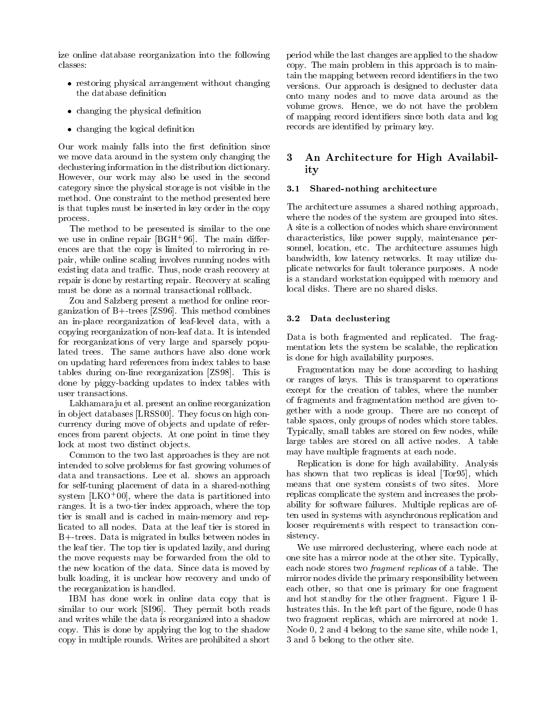ize online database reorganization into the following classes:

- restoring physical arrangement without changing the database definition
- changing the physical density of the physical density of the physical density of the physical density of the p
- changing the logical denition

Our work mainly falls into the first definition since we move data around in the system only changing the 3 declustering information in the distribution dictionary. However, our work may also be used in the second category since the physical storage is not visible in the method. One constraint to the method presented here is that tuples must be inserted in key order in the copy process.

The method to be presented is similar to the one we use in online repair [BGH+ 96]. The main dierences are that the copy is limited to mirroring in repair, while online scaling involves running nodes with existing data and traffic. Thus, node crash recovery at repair is done by restarting repair. Recovery at scaling must be done as a normal transactional rollback.

Zou and Salzberg present a method for online reorganization of B+-trees [ZS96]. This method combines an in-place reorganization of leaf-level data, with a copying reorganization of non-leaf data. It is intended for reorganizations of very large and sparsely populated trees. The same authors have also done work on updating hard references from index tables to base tables during on-line reorganization [ZS98]. This is done by piggy-backing updates to index tables with user transactions.

Lakhamara ju et al. present an online reorganization in ob ject databases [LRSS00]. They focus on high concurrency during move of ob jects and update of references from parent objects. At one point in time they lock at most two distinct objects.

Common to the two last approaches is they are not intended to solve problems for fast growing volumes of data and transactions. Lee et al. shows an approach for self-tuning placement of data in a shared-nothing system  $|LMO+UU|$ , where the data is partitioned into  $\longrightarrow$ ranges. It is a two-tier index approach, where the top tier is small and is cached in main-memory and replicated to all nodes. Data at the leaf tier is stored in B+-trees. Data is migrated in bulks between nodes in the leaf tier. The top tier is updated lazily, and during the move requests may be forwarded from the old to the new location of the data. Since data is moved by bulk loading, it is unclear how recovery and undo of the reorganization is handled.

IBM has done work in online data copy that is similar to our work [SI96]. They permit both reads and writes while the data is reorganized into a shadow copy. This is done by applying the log to the shadow copy in multiple rounds. Writes are prohibited a short

period while the last changes are applied to the shadow copy. The main problem in this approach is to maintain the mapping between record identiers in the two versions. Our approach is designed to decluster data onto many nodes and to move data around as the volume grows. Hence, we do not have the problem of mapping record identiers since both data and log records are identied by primary key.

## An Architecture for High Availability

### 3.1Shared-nothing architecture

The architecture assumes a shared nothing approach, where the nodes of the system are grouped into sites. A site is a collection of nodes which share environment characteristics, like power supply, maintenance personnel, location, etc. The architecture assumes high bandwidth, low latency networks. It may utilize duplicate networks for fault tolerance purposes. A node is a standard workstation equipped with memory and local disks. There are no shared disks.

### 3.2Data declustering

Data is both fragmented and replicated. The fragmentation lets the system be scalable, the replication is done for high availability purposes.

Fragmentation may be done according to hashing or ranges of keys. This is transparent to operations except for the creation of tables, where the number of fragments and fragmentation method are given together with a node group. There are no concept of table spaces, only groups of nodes which store tables. Typically, small tables are stored on few nodes, while large tables are stored on all active nodes. A table may have multiple fragments at each node.

Replication is done for high availability. Analysis has shown that two replicas is ideal [Tor95], which means that one system consists of two sites. More replicas complicate the system and increases the probability for software failures. Multiple replicas are often used in systems with asynchronous replication and looser requirements with respect to transaction consistency.

We use mirrored declustering, where each node at one site has a mirror node at the other site. Typically, each node stores two fragment replicas of a table. The mirror nodes divide the primary responsibility between each other, so that one is primary for one fragment and hot standby for the other fragment. Figure 1 illustrates this. In the left part of the figure, node 0 has two fragment replicas, which are mirrored at node 1. Node 0, 2 and 4 belong to the same site, while node 1, 3 and 5 belong to the other site.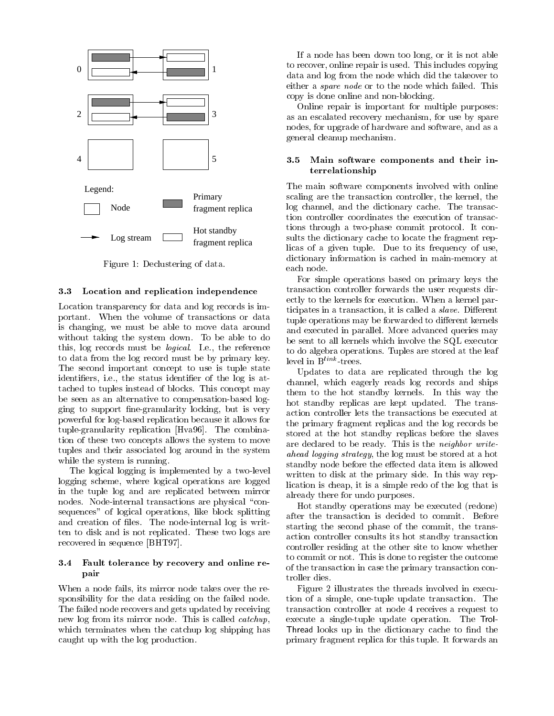

Figure 1: Declustering of data.

#### 3.3Location and replication independence

Location transparency for data and log records is important. When the volume of transactions or data is changing, we must be able to move data around without taking the system down. To be able to do this, log records must be logical. I.e., the reference to data from the log record must be by primary key. The second important concept to use is tuple state identifiers, i.e., the status identifier of the log is attached to tuples instead of blocks. This concept may be seen as an alternative to compensation-based logging to support fine-granularity locking, but is very powerful for log-based replication because it allows for tuple-granularity replication [Hva96]. The combination of these two concepts allows the system to move tuples and their associated log around in the system while the system is running.

The logical logging is implemented by a two-level logging scheme, where logical operations are logged in the tuple log and are replicated between mirror nodes. Node-internal transactions are physical "consequences" of logical operations, like block splitting and creation of files. The node-internal log is written to disk and is not replicated. These two logs are recovered in sequence [BHT97].

### 3.4 Fault tolerance by recovery and online repair

When a node fails, its mirror node takes over the responsibility for the data residing on the failed node. The failed node recovers and gets updated by receiving new log from its mirror node. This is called catchup, which terminates when the catchup log shipping has caught up with the log production.

If a node has been down too long, or it is not able to recover, online repair is used. This includes copying data and log from the node which did the takeover to either a spare node or to the node which failed. This copy is done online and non-blocking.

Online repair is important for multiple purposes: as an escalated recovery mechanism, for use by spare nodes, for upgrade of hardware and software, and as a general cleanup mechanism.

### 3.5 Main software components and their interrelationship

The main software components involved with online scaling are the transaction controller, the kernel, the log channel, and the dictionary cache. The transaction controller coordinates the execution of transactions through a two-phase commit protocol. It consults the dictionary cache to locate the fragment replicas of a given tuple. Due to its frequency of use, dictionary information is cached in main-memory at each node.

For simple operations based on primary keys the transaction controller forwards the user requests directly to the kernels for execution. When a kernel participates in a transaction, it is called a *slave*. Different tuple operations may be forwarded to different kernels and executed in parallel. More advanced queries may be sent to all kernels which involve the SQL executor to do algebra operations. Tuples are stored at the leaf level in  $B^{link}$ -trees.

Updates to data are replicated through the log channel, which eagerly reads log records and ships them to the hot standby kernels. In this way the hot standby replicas are kept updated. The transaction controller lets the transactions be executed at the primary fragment replicas and the log records be stored at the hot standby replicas before the slaves are declared to be ready. This is the neighbor writeahead logging strategy, the log must be stored at a hot standby node before the effected data item is allowed written to disk at the primary side. In this way replication is cheap, it is a simple redo of the log that is already there for undo purposes.

Hot standby operations may be executed (redone) after the transaction is decided to commit. Before starting the second phase of the commit, the transaction controller consults its hot standby transaction controller residing at the other site to know whether to commit or not. This is done to register the outcome of the transaction in case the primary transaction controller dies.

Figure 2 illustrates the threads involved in execution of a simple, one-tuple update transaction. The transaction controller at node 4 receives a request to execute a single-tuple update operation. The Trol-Thread looks up in the dictionary cache to nd the primary fragment replica for this tuple. It forwards an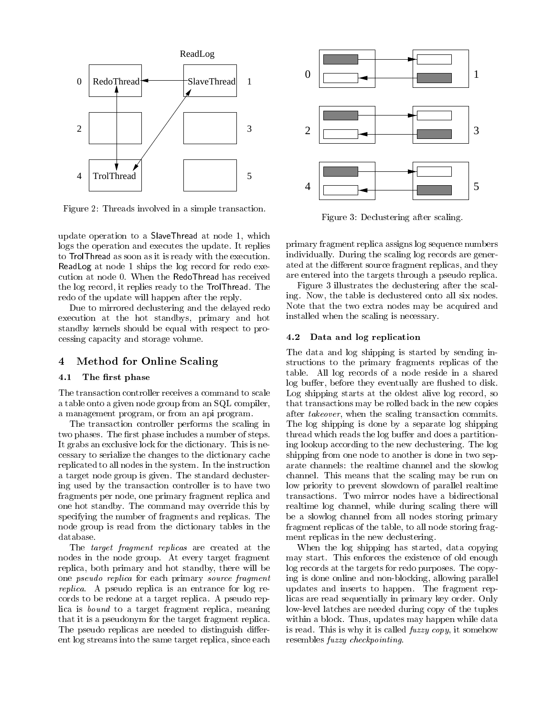

Figure 2: Threads involved in a simple transaction.

update operation to a SlaveThread at node 1, which logs the operation and executes the update. It replies to TrolThread as soon as it is ready with the execution. ReadLog at node 1 ships the log record for redo execution at node 0. When the RedoThread has received the log record, it replies ready to the TrolThread. The redo of the update will happen after the reply.

Due to mirrored declustering and the delayed redo execution at the hot standbys, primary and hot standby kernels should be equal with respect to processing capacity and storage volume.

### $\overline{4}$ Method for Online Scaling

#### 4.1The first phase

The transaction controller receives a command to scale a table onto a given node group from an SQL compiler, a management program, or from an api program.

The transaction controller performs the scaling in two phases. The first phase includes a number of steps. It grabs an exclusive lock for the dictionary. This is necessary to serialize the changes to the dictionary cache replicated to all nodes in the system. In the instruction a target node group is given. The standard declustering used by the transaction controller is to have two fragments per node, one primary fragment replica and one hot standby. The command may override this by specifying the number of fragments and replicas. The node group is read from the dictionary tables in the database.

The target fragment replicas are created at the nodes in the node group. At every target fragment replica, both primary and hot standby, there will be one pseudo replica for each primary source fragment replica. A pseudo replica is an entrance for log records to be redone at a target replica. A pseudo replica is bound to a target fragment replica, meaning that it is a pseudonym for the target fragment replica. The pseudo replicas are needed to distinguish different log streams into the same target replica, since each



Figure 3: Declustering after scaling.

primary fragment replica assigns log sequence numbers individually. During the scaling log records are generated at the different source fragment replicas, and they are entered into the targets through a pseudo replica.

Figure 3 illustrates the declustering after the scaling. Now, the table is declustered onto all six nodes. Note that the two extra nodes may be acquired and installed when the scaling is necessary.

### 4.2Data and log replication

The data and log shipping is started by sending instructions to the primary fragments replicas of the table. All log records of a node reside in a shared log buffer, before they eventually are flushed to disk. Log shipping starts at the oldest alive log record, so that transactions may be rolled back in the new copies after takeover, when the scaling transaction commits. The log shipping is done by a separate log shipping thread which reads the log buffer and does a partitioning lookup according to the new declustering. The log shipping from one node to another is done in two separate channels: the realtime channel and the slowlog channel. This means that the scaling may be run on low priority to prevent slowdown of parallel realtime transactions. Two mirror nodes have a bidirectional realtime log channel, while during scaling there will be a slowlog channel from all nodes storing primary fragment replicas of the table, to all node storing fragment replicas in the new declustering.

When the log shipping has started, data copying may start. This enforces the existence of old enough log records at the targets for redo purposes. The copying is done online and non-blocking, allowing parallel updates and inserts to happen. The fragment replicas are read sequentially in primary key order. Only low-level latches are needed during copy of the tuples within a block. Thus, updates may happen while data is read. This is why it is called fuzzy copy, it somehow resembles fuzzy checkpointing.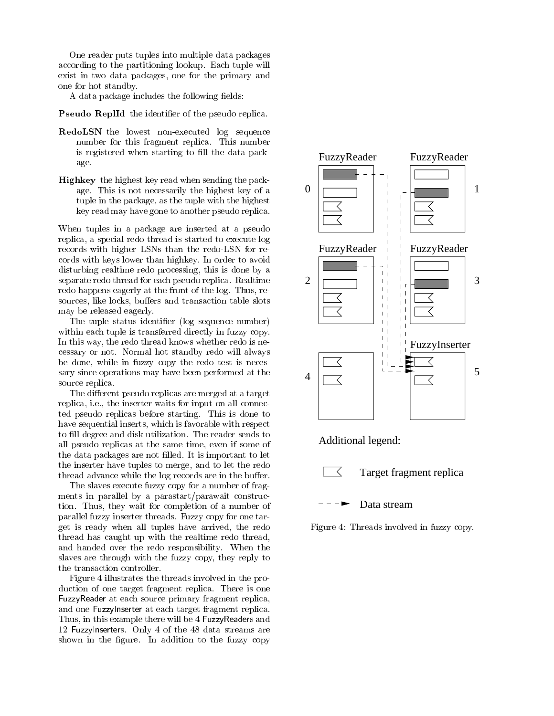One reader puts tuples into multiple data packages according to the partitioning lookup. Each tuple will exist in two data packages, one for the primary and one for hot standby.

A data package includes the following fields:

**I** seudo Replid the identifier of the pseudo replica.

- RedoLSN the lowest non-executed log sequence number for this fragment replica. This number is registered when starting to fill the data package.
- Highkey the highest key read when sending the package. This is not necessarily the highest key of a tuple in the package, as the tuple with the highest key read may have gone to another pseudo replica.

When tuples in a package are inserted at a pseudo replica, a special redo thread is started to execute log records with higher LSNs than the redo-LSN for records with keys lower than highkey. In order to avoid disturbing realtime redo processing, this is done by a separate redo thread for each pseudo replica. Realtime redo happens eagerly at the front of the log. Thus, resources, like locks, buffers and transaction table slots may be released eagerly.

The tuple status identifier (log sequence number) within each tuple is transferred directly in fuzzy copy. In this way, the redo thread knows whether redo is necessary or not. Normal hot standby redo will always be done, while in fuzzy copy the redo test is necessary since operations may have been performed at the source replica.

The different pseudo replicas are merged at a target replica, i.e., the inserter waits for input on all connected pseudo replicas before starting. This is done to have sequential inserts, which is favorable with respect to fill degree and disk utilization. The reader sends to all pseudo replicas at the same time, even if some of the data packages are not filled. It is important to let the inserter have tuples to merge, and to let the redo thread advance while the log records are in the buffer.

The slaves execute fuzzy copy for a number of fragments in parallel by a parastart/parawait construction. Thus, they wait for completion of a number of parallel fuzzy inserter threads. Fuzzy copy for one target is ready when all tuples have arrived, the redo thread has caught up with the realtime redo thread, and handed over the redo responsibility. When the slaves are through with the fuzzy copy, they reply to the transaction controller.

Figure 4 illustrates the threads involved in the production of one target fragment replica. There is one FuzzyReader at each source primary fragment replica, and one FuzzyInserter at each target fragment replica. Thus, in this example there will be 4 FuzzyReaders and 12 FuzzyInserters. Only 4 of the 48 data streams are shown in the figure. In addition to the fuzzy copy





## Target fragment replica

Data stream

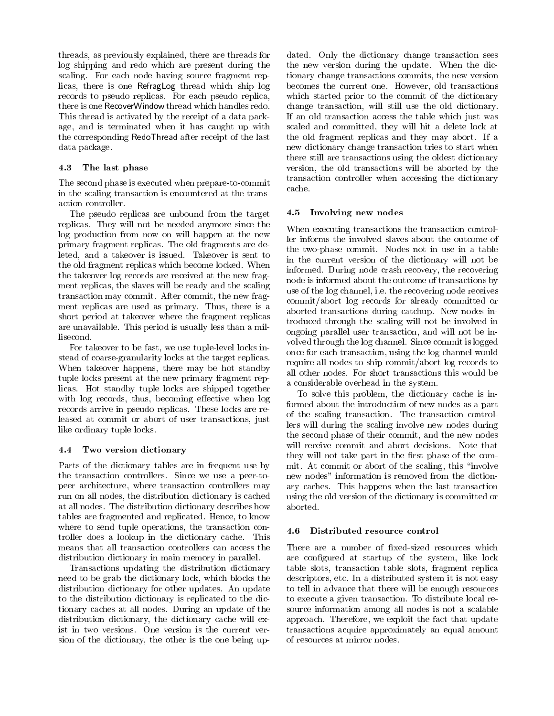threads, as previously explained, there are threads for log shipping and redo which are present during the scaling. For each node having source fragment replicas, there is one RefragLog thread which ship log records to pseudo replicas. For each pseudo replica, there is one RecoverWindow thread which handles redo. This thread is activated by the receipt of a data package, and is terminated when it has caught up with the corresponding RedoThread after receipt of the last data package.

### 4.3 The last phase

The second phase is executed when prepare-to-commit in the scaling transaction is encountered at the transaction controller.

The pseudo replicas are unbound from the target replicas. They will not be needed anymore since the log production from now on will happen at the new primary fragment replicas. The old fragments are deleted, and a takeover is issued. Takeover is sent to the old fragment replicas which become locked. When the takeover log records are received at the new fragment replicas, the slaves will be ready and the scaling transaction may commit. After commit, the new fragment replicas are used as primary. Thus, there is a short period at takeover where the fragment replicas are unavailable. This period is usually less than a millisecond.

For takeover to be fast, we use tuple-level locks instead of coarse-granularity locks at the target replicas. When takeover happens, there may be hot standby tuple locks present at the new primary fragment replicas. Hot standby tuple locks are shipped together with log records, thus, becoming effective when log records arrive in pseudo replicas. These locks are released at commit or abort of user transactions, just like ordinary tuple locks.

### 4.4Two version dictionary

Parts of the dictionary tables are in frequent use by the transaction controllers. Since we use a peer-topeer architecture, where transaction controllers may run on all nodes, the distribution dictionary is cached at all nodes. The distribution dictionary describes how tables are fragmented and replicated. Hence, to know where to send tuple operations, the transaction controller does a lookup in the dictionary cache. This means that all transaction controllers can access the distribution dictionary in main memory in parallel.

Transactions updating the distribution dictionary need to be grab the dictionary lock, which blocks the distribution dictionary for other updates. An update to the distribution dictionary is replicated to the dictionary caches at all nodes. During an update of the distribution dictionary, the dictionary cache will exist in two versions. One version is the current version of the dictionary, the other is the one being updated. Only the dictionary change transaction sees the new version during the update. When the dictionary change transactions commits, the new version becomes the current one. However, old transactions which started prior to the commit of the dictionary change transaction, will still use the old dictionary. If an old transaction access the table which just was scaled and committed, they will hit a delete lock at the old fragment replicas and they may abort. If a new dictionary change transaction tries to start when there still are transactions using the oldest dictionary version, the old transactions will be aborted by the transaction controller when accessing the dictionary cache.

### 4.5Involving new nodes

When executing transactions the transaction controller informs the involved slaves about the outcome of the two-phase commit. Nodes not in use in a table in the current version of the dictionary will not be informed. During node crash recovery, the recovering node is informed about the outcome of transactions by use of the log channel, i.e. the recovering node receives commit/abort log records for already committed or aborted transactions during catchup. New nodes introduced through the scaling will not be involved in ongoing parallel user transaction, and will not be in volved through the log channel. Since commit is logged once for each transaction, using the log channel would require all nodes to ship commit/abort log records to all other nodes. For short transactions this would be a considerable overhead in the system.

To solve this problem, the dictionary cache is informed about the introduction of new nodes as a part of the scaling transaction. The transaction controllers will during the scaling involve new nodes during the second phase of their commit, and the new nodes will receive commit and abort decisions. Note that they will not take part in the first phase of the commit. At commit or abort of the scaling, this "involve" new nodes" information is removed from the dictionary caches. This happens when the last transaction using the old version of the dictionary is committed or aborted.

### Distributed resource control

There are a number of fixed-sized resources which are configured at startup of the system, like lock table slots, transaction table slots, fragment replica descriptors, etc. In a distributed system it is not easy to tell in advance that there will be enough resources to execute a given transaction. To distribute local resource information among all nodes is not a scalable approach. Therefore, we exploit the fact that update transactions acquire approximately an equal amount of resources at mirror nodes.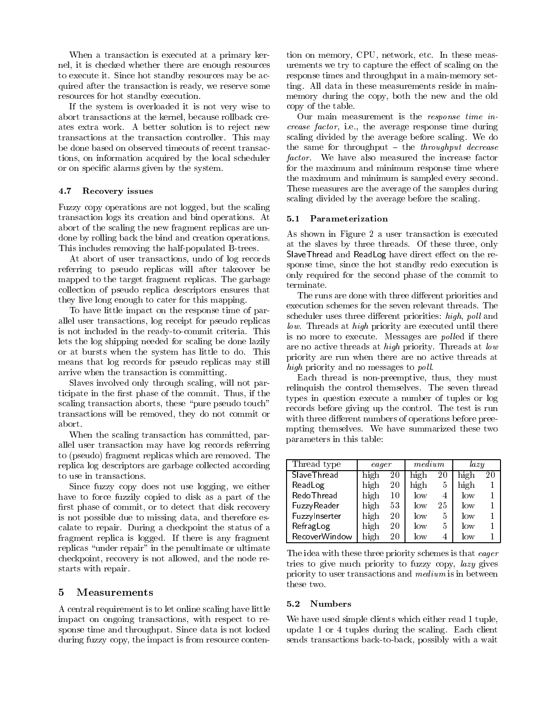When a transaction is executed at a primary kernel, it is checked whether there are enough resources to execute it. Since hot standby resources may be acquired after the transaction is ready, we reserve some resources for hot standby execution.

If the system is overloaded it is not very wise to abort transactions at the kernel, because rollback creates extra work. A better solution is to reject new transactions at the transaction controller. This may be done based on observed timeouts of recent transactions, on information acquired by the local scheduler or on specic alarms given by the system.

### 4.7Recovery issues

Fuzzy copy operations are not logged, but the scaling transaction logs its creation and bind operations. At abort of the scaling the new fragment replicas are undone by rolling back the bind and creation operations. This includes removing the half-populated B-trees.

At abort of user transactions, undo of log records referring to pseudo replicas will after takeover be mapped to the target fragment replicas. The garbage only required the terminate. collection of pseudo replica descriptors ensures that they live long enough to cater for this mapping.

To have little impact on the response time of parallel user transactions, log receipt for pseudo replicas is not included in the ready-to-commit criteria. This lets the log shipping needed for scaling be done lazily or at bursts when the system has little to do. This means that log records for pseudo replicas may still arrive when the transaction is committing.

Slaves involved only through scaling, will not participate in the first phase of the commit. Thus, if the scaling transaction aborts, these "pure pseudo touch" transactions will be removed, they do not commit or

When the scaling transaction has committed, parallel user transaction may have log records referring to (pseudo) fragment replicas which are removed. The replica log descriptors are garbage collected according to use in transactions.

Since fuzzy copy does not use logging, we either have to force fuzzily copied to disk as a part of the first phase of commit, or to detect that disk recovery is not possible due to missing data, and therefore escalate to repair. During a checkpoint the status of a fragment replica is logged. If there is any fragment replicas "under repair" in the penultimate or ultimate checkpoint, recovery is not allowed, and the node restarts with repair.

### $\overline{5}$ **Measurements**

A central requirement is to let online scaling have little impact on ongoing transactions, with respect to response time and throughput. Since data is not locked during fuzzy copy, the impact is from resource contention on memory, CPU, network, etc. In these measurements we try to capture the effect of scaling on the response times and throughput in a main-memory setting. All data in these measurements reside in mainmemory during the copy, both the new and the old copy of the table.

Our main measurement is the response time increase factor, i.e., the average response time during scaling divided by the average before scaling. We do the same for throughput  $-$  the throughput decrease factor. We have also measured the increase factor for the maximum and minimum response time where the maximum and minimum is sampled every second. These measures are the average of the samples during scaling divided by the average before the scaling.

As shown in Figure 2 a user transaction is executed at the slaves by three threads. Of these three, only SlaveThread and ReadLog have direct eect on the response time, since the hot standby redo execution is only required for the second phase of the commit to

The runs are done with three different priorities and execution schemes for the seven relevant threads. The scheduler uses three different priorities: high, poll and low. Threads at high priority are executed until there is no more to execute. Messages are *polled* if there are no active threads at high priority. Threads at low priority are run when there are no active threads at high priority and no messages to *poll*.

Each thread is non-preemptive, thus, they must relinquish the control themselves. The seven thread types in question execute a number of tuples or log records before giving up the control. The test is run with three different numbers of operations before preempting themselves. We have summarized these two parameters in this table:

| Thread type          | eager |    | medium |    | lazy   |    |
|----------------------|-------|----|--------|----|--------|----|
| <b>Slave Thread</b>  | high  | 20 | high   | 20 | high   | 20 |
| ReadLog              | high  | 20 | high   | 5  | high   |    |
| RedoThread           | high  | 10 | low    | 4  | low    |    |
| FuzzyReader          | high  | 53 | low    | 25 | $\log$ |    |
| Fuzzylnserter        | high  | 20 | $\log$ | 5  | $\log$ |    |
| RefragLog            | high  | 20 | $\log$ | 5  | $\log$ |    |
| <b>RecoverWindow</b> | high  | 20 | low    |    | low    |    |

The idea with these three priority schemes is that eager tries to give much priority to fuzzy copy, lazy gives priority to user transactions and medium is in between these two.

We have used simple clients which either read 1 tuple, update 1 or 4 tuples during the scaling. Each client sends transactions back-to-back, possibly with a wait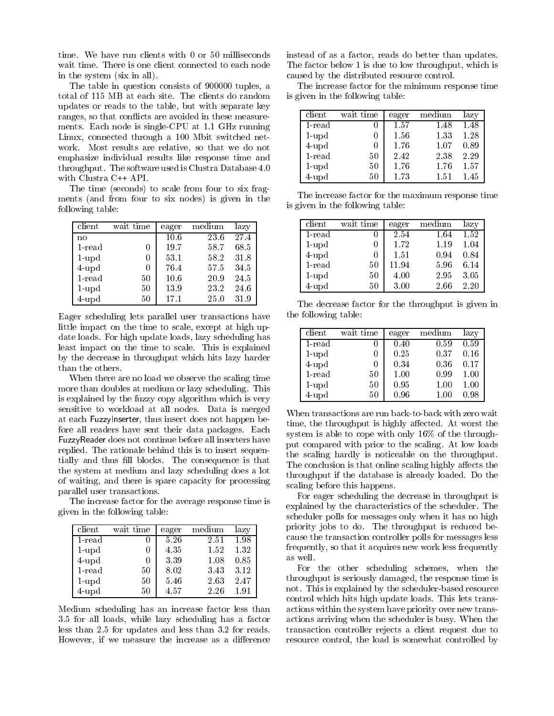time. We have run clients with 0 or 50 milliseconds wait time. There is one client connected to each node in the system (six in all).

The table in question consists of 900000 tuples, a total of 115 MB at each site. The clients do random updates or reads to the table, but with separate key ranges, so that conflicts are avoided in these measurements. Each node is single-CPU at 1.1 GHz running Linux, connected through a 100 Mbit switched net work. Most results are relative, so that we do not emphasize individual results like response time and throughput. The software used is Clustra Database 4.0 with Clustra C++ API.

The time (seconds) to scale from four to six fragments (and from four to six nodes) is given in the following table:

| client    | wait time        | eager | medium | lazy |
|-----------|------------------|-------|--------|------|
| no        |                  | 10.6  | 23.6   | 27.4 |
| $1$ -read | 0                | 19.7  | 58.7   | 68.5 |
| $1$ -upd  | $\left( \right)$ | 53.1  | 58.2   | 31.8 |
| $4$ -upd  | 0                | 76.4  | 57.5   | 34.5 |
| $1$ -read | 50               | 10.6  | 20.9   | 24.5 |
| $1$ -upd  | 50               | 13.9  | 23.2   | 24.6 |
| $4$ -upd  | 50               | 17.1  | 25.0   | 31.9 |

Eager scheduling lets parallel user transactions have little impact on the time to scale, except at high update loads. For high update loads, lazy scheduling has least impact on the time to scale. This is explained by the decrease in throughput which hits lazy harder than the others.

When there are no load we observe the scaling time more than doubles at medium or lazy scheduling. This is explained by the fuzzy copy algorithm which is very sensitive to workload at all nodes. Data is merged at each FuzzyInserter, thus insert does not happen before all readers have sent their data packages. Each FuzzyReader does not continue before all inserters have replied. The rationale behind this is to insert sequentially and thus fill blocks. The consequence is that the system at medium and lazy scheduling does a lot of waiting, and there is spare capacity for processing parallel user transactions.

The increase factor for the average response time is given in the following table:

| client    | wait time | eager | medium | lazy |
|-----------|-----------|-------|--------|------|
| 1-read    |           | 5.26  | 2.51   | 1.98 |
| $1$ -upd  |           | 4.35  | 1.52   | 1.32 |
| $4$ -upd  | U         | 3.39  | 1.08   | 0.85 |
| $1$ -read | 50        | 8.02  | 3.43   | 3.12 |
| $1$ -upd  | 50        | 5.46  | 2.63   | 2.47 |
| $4$ -upd  | 50        | 4.57  | 2.26   | 1.91 |

Medium scheduling has an increase factor less than 3.5 for all loads, while lazy scheduling has a factor less than 2.5 for updates and less than 3.2 for reads. However, if we measure the increase as a difference instead of as a factor, reads do better than updates. The factor below 1 is due to low throughput, which is caused by the distributed resource control.

The increase factor for the minimum response time is given in the following table:

| client    | wait time | eager | medium | lazy |
|-----------|-----------|-------|--------|------|
| 1-read    |           | 1.57  | 1.48   | 1.48 |
| $1$ -upd  |           | 1.56  | 1.33   | 1.28 |
| $4$ -upd  |           | 1.76  | 1.07   | 0.89 |
| $1$ -read | 50        | 2.42  | 2.38   | 2.29 |
| $1$ -upd  | 50        | 1.76  | 1.76   | 1.57 |
| $4$ -upd  | 50        | 1.73  | 1.51   | 1.45 |

The increase factor for the maximum response time is given in the following table:

| client    | wait time | eager | medium | lazy |
|-----------|-----------|-------|--------|------|
| $1$ -read |           | 2.54  | 1.64   | 1.52 |
| $1$ -upd  |           | 1.72  | 1.19   | 1.04 |
| $4$ -upd  |           | 1.51  | 0.94   | 0.84 |
| $1$ -read | 50        | 11.94 | 5.96   | 6.14 |
| $1$ -upd  | 50        | 4.00  | 2.95   | 3.05 |
| $4$ -upd  | 50        | 3.00  | 2.66   | 2.20 |

The decrease factor for the throughput is given in the following table:

| client    | wait time | eager | medium | lazy     |
|-----------|-----------|-------|--------|----------|
| $1$ -read |           | 0.40  | 0.59   | 0.59     |
| $1$ -upd  |           | 0.25  | 0.37   | 0.16     |
| $4$ -upd  |           | 0.34  | 0.36   | 0.17     |
| $1$ -read | 50        | 1.00  | 0.99   | $1.00\,$ |
| $1$ -upd  | 50        | 0.95  | 1.00   | 1.00     |
| $4$ -upd  | 50        | 0.96  |        | 0.98     |

When transactions are run back-to-back with zero wait time, the throughput is highly affected. At worst the system is able to cope with only 16% of the throughput compared with prior to the scaling. At low loads the scaling hardly is noticeable on the throughput. The conclusion is that online scaling highly affects the throughput if the database is already loaded. Do the scaling before this happens.

For eager scheduling the decrease in throughput is explained by the characteristics of the scheduler. The scheduler polls for messages only when it has no high priority jobs to do. The throughput is reduced because the transaction controller polls for messages less frequently, so that it acquires new work less frequently as well.

For the other scheduling schemes, when the throughput is seriously damaged, the response time is not. This is explained by the scheduler-based resource control which hits high update loads. This lets transactions within the system have priority over new transactions arriving when the scheduler is busy. When the transaction controller rejects a client request due to resource control, the load is somewhat controlled by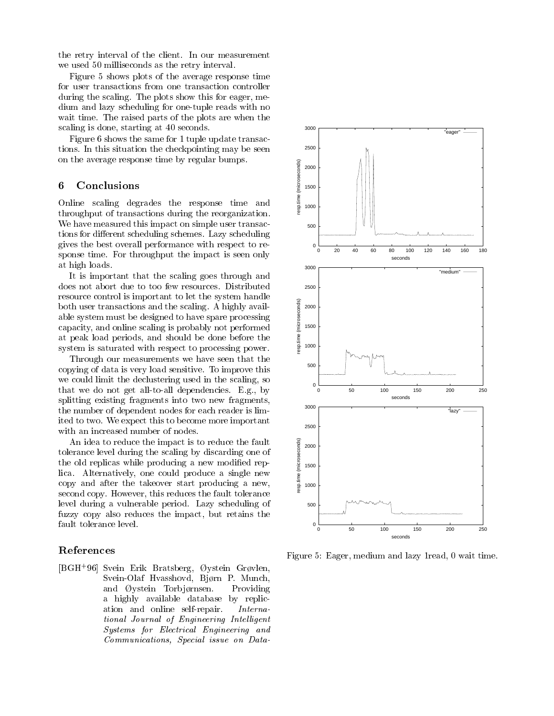the retry interval of the client. In our measurement we used 50 milliseconds as the retry interval.

Figure 5 shows plots of the average response time Figure 5 shows plots of the average response time for user transactions from one transaction controller during the scaling. The plots show this for eager, medium and lazy scheduling for one-tuple reads with no wait time. The raised parts of the plots are when the scaling is done, starting at 40 seconds.

Figure 6 shows the same for 1 tuple update transactions. In this situation the checkpointing may be seen on the average response time by regular bumps.

### 6 **Conclusions**

on the average response time by regular bumps.<br> **6** Conclusions<br>
Online scaling degrades the response time and<br>
throughout of transactions during the reorganization throughput of transactions during the reorganization. We have measured this impact on simple user transactions for different scheduling schemes. Lazy scheduling gives the best overall performance with respect to response time. For throughput the impact is seen only at high loads.

It is important that the scaling goes through and does not abort due to too few resources. Distributed resource control is important to let the system handle<br>both user transactions and the scaling. A highly avail-<br>able system must be designed to have spare processing<br>capacity, and online scaling is probably not performed<br>a both user transactions and the scaling. A highly available system must be designed to have spare processing capacity, and online scaling is probably not performed at peak load periods, and should be done before the system is saturated with respect to processing power.

Through our measurements we have seen that the copying of data is very load sensitive. To improve this we could limit the declustering used in the scaling, so that we do not get all-to-all dependencies. E.g., by splitting existing fragments into two new fragments, the number of dependent nodes for each reader is limited to two. We expect this to become more important with an increased number of nodes.

An idea to reduce the impact is to reduce the fault<br>
lerance level during the scaling by discarding one of<br>
e old replicas while producing a new modified rep-<br>
a. Alternatively, one could produce a single new<br>
py and afte tolerance level during the scaling by discarding one of the old replicas while producing a new modified replica. Alternatively, one could produce a single new copy and after the takeover start producing a new, second copy. However, this reduces the fault tolerance level during a vulnerable period. Lazy scheduling of fuzzy copy also reduces the impact, but retains the fault tolerance level.

### References

[BGH+ 96] Svein Erik Bratsberg, ystein Grvlen, Svein-Olaf Hvasshovd, Bjørn P. Munch, and  $\varnothing$ ystein Torbiørnsen. Providing a highly available database by replication and online self-repair. International Journal of Engineering Intelligent Systems for Electrical Engineering and Communications, Special issue on Data-



Figure 5: Eager, medium and lazy 1read, 0 wait time.